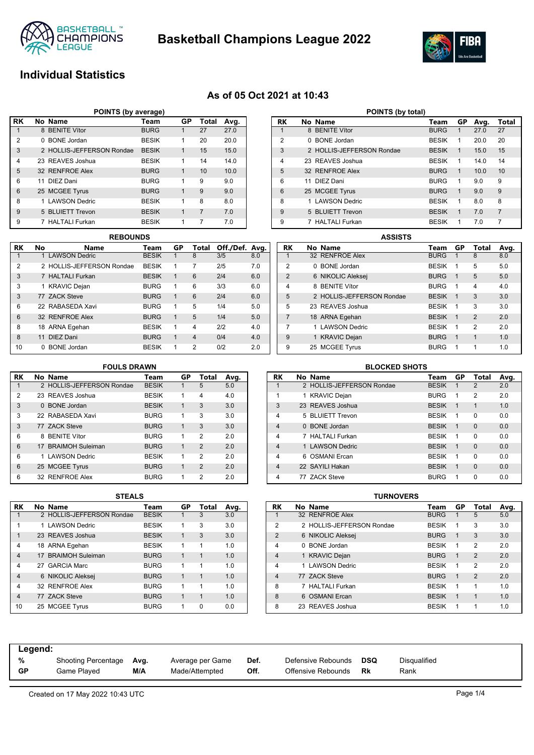



# **Individual Statistics**

### **As of 05 Oct 2021 at 10:43**

| POINTS (by average) |                                        |                           |              |             |    |      |  |  |  |  |  |  |
|---------------------|----------------------------------------|---------------------------|--------------|-------------|----|------|--|--|--|--|--|--|
| <b>RK</b>           | No Name<br>GP<br>Total<br>Avg.<br>Team |                           |              |             |    |      |  |  |  |  |  |  |
|                     |                                        | 8 BENITE Vítor            | <b>BURG</b>  |             | 27 | 27.0 |  |  |  |  |  |  |
| 2                   | 0                                      | <b>BONE</b> Jordan        | <b>BESIK</b> | 1           | 20 | 20.0 |  |  |  |  |  |  |
| 3                   |                                        | 2 HOLLIS-JEFFERSON Rondae | <b>BESIK</b> | 1           | 15 | 15.0 |  |  |  |  |  |  |
| 4                   |                                        | 23 REAVES Joshua          | <b>BESIK</b> | 1           | 14 | 14.0 |  |  |  |  |  |  |
| 5                   |                                        | 32 RENFROE Alex           | <b>BURG</b>  | 1           | 10 | 10.0 |  |  |  |  |  |  |
| 6                   |                                        | 11 DIEZ Dani              | <b>BURG</b>  | 1           | 9  | 9.0  |  |  |  |  |  |  |
| 6                   |                                        | 25 MCGEE Tyrus            | <b>BURG</b>  | 1           | 9  | 9.0  |  |  |  |  |  |  |
| 8                   |                                        | 1 LAWSON Dedric           | <b>BESIK</b> | 1           | 8  | 8.0  |  |  |  |  |  |  |
| 9                   |                                        | 5 BLUIETT Trevon          | <b>BESIK</b> | $\mathbf 1$ | 7  | 7.0  |  |  |  |  |  |  |
| 9                   |                                        | 7 HALTALI Furkan          | <b>BESIK</b> | 1           | 7  | 7.0  |  |  |  |  |  |  |

| 6            |    | 25 MCGEE Tyrus            | <b>BURG</b>  | 1            | 9              | 9.0            |     | 6              | 25 MCGEE T  |
|--------------|----|---------------------------|--------------|--------------|----------------|----------------|-----|----------------|-------------|
| 8            |    | 1 LAWSON Dedric           | <b>BESIK</b> | 1            | 8              | 8.0            |     | 8              | 1 LAWSON    |
| 9            |    | 5 BLUIETT Trevon          | <b>BESIK</b> | 1            | $\overline{7}$ | 7.0            |     | 9              | 5 BLUIETT   |
| 9            |    | 7 HALTALI Furkan          | <b>BESIK</b> | 1            | 7              | 7.0            |     | 9              | 7 HALTALI F |
|              |    | <b>REBOUNDS</b>           |              |              |                |                |     |                |             |
|              |    |                           |              |              |                |                |     |                |             |
| RK           | No | <b>Name</b>               | Team         | GP           | Total          | Off./Def. Ava. |     | RK             | No Name     |
| $\mathbf{1}$ |    | 1 LAWSON Dedric           | <b>BESIK</b> | 1            | 8              | 3/5            | 8.0 |                | 32 RENFRO   |
| 2            |    | 2 HOLLIS-JEFFERSON Rondae | <b>BESIK</b> | 1            | 7              | 2/5            | 7.0 | 2              | 0 BONE J    |
| 3            |    | 7 HALTALI Furkan          | <b>BESIK</b> | $\mathbf 1$  | 6              | 2/4            | 6.0 | $\mathfrak{p}$ | 6 NIKOLIC   |
| 3            |    | 1 KRAVIC Dejan            | <b>BURG</b>  | 1            | 6              | 3/3            | 6.0 | 4              | 8 BENITE    |
| 3            |    | 77 ZACK Steve             | <b>BURG</b>  | $\mathbf{1}$ | 6              | 2/4            | 6.0 | 5              | 2 HOLLIS-   |

| POINTS (by total) |    |                           |              |    |      |                |  |  |  |  |  |
|-------------------|----|---------------------------|--------------|----|------|----------------|--|--|--|--|--|
| RK                |    | No Name                   | Team         | GP | Avg. | Total          |  |  |  |  |  |
| 1                 |    | 8 BENITE Vítor            | <b>BURG</b>  | 1  | 27.0 | 27             |  |  |  |  |  |
| 2                 | 0  | <b>BONE</b> Jordan        | <b>BESIK</b> | 1  | 20.0 | 20             |  |  |  |  |  |
| 3                 |    | 2 HOLLIS-JEFFERSON Rondae | <b>BESIK</b> | 1  | 15.0 | 15             |  |  |  |  |  |
| 4                 |    | 23 REAVES Joshua          | <b>BESIK</b> | 1  | 14.0 | 14             |  |  |  |  |  |
| 5                 |    | 32 RENFROE Alex           | <b>BURG</b>  | 1  | 10.0 | 10             |  |  |  |  |  |
| 6                 | 11 | DIFZ Dani                 | <b>BURG</b>  | 1  | 9.0  | 9              |  |  |  |  |  |
| 6                 |    | 25 MCGEE Tyrus            | <b>BURG</b>  | 1  | 9.0  | 9              |  |  |  |  |  |
| 8                 |    | <b>LAWSON Dedric</b>      | <b>BESIK</b> | 1  | 8.0  | 8              |  |  |  |  |  |
| 9                 |    | 5 BLUIETT Trevon          | <b>BESIK</b> | 1  | 7.0  | $\overline{7}$ |  |  |  |  |  |
| 9                 |    | <b>HALTALI Furkan</b>     | <b>BESIK</b> | 1  | 7.0  | 7              |  |  |  |  |  |

|                | <b>ASSISTS</b> |                           |              |              |               |      |  |  |  |  |  |
|----------------|----------------|---------------------------|--------------|--------------|---------------|------|--|--|--|--|--|
| RK             |                | No Name                   | Team         | GP           | Total         | Avg. |  |  |  |  |  |
|                |                | 32 RENFROE Alex           | <b>BURG</b>  | 1            | 8             | 8.0  |  |  |  |  |  |
| 2              | 0              | <b>BONE</b> Jordan        | <b>BESIK</b> | 1            | 5             | 5.0  |  |  |  |  |  |
| $\mathfrak{p}$ |                | 6 NIKOLIC Aleksej         | <b>BURG</b>  | 1            | 5             | 5.0  |  |  |  |  |  |
| $\overline{4}$ | 8              | <b>BENITE Vítor</b>       | <b>BURG</b>  | 1            | 4             | 4.0  |  |  |  |  |  |
| 5              |                | 2 HOLLIS-JEFFERSON Rondae | <b>BESIK</b> | 1            | 3             | 3.0  |  |  |  |  |  |
| 5              |                | 23 REAVES Joshua          | <b>BESIK</b> | 1            | 3             | 3.0  |  |  |  |  |  |
| 7              |                | 18 ARNA Egehan            | <b>BESIK</b> | $\mathbf{1}$ | $\mathcal{P}$ | 2.0  |  |  |  |  |  |
| 7              |                | 1 LAWSON Dedric           | <b>BESIK</b> | 1            | 2             | 2.0  |  |  |  |  |  |
| 9              |                | 1 KRAVIC Dejan            | <b>BURG</b>  | 1            | $\mathbf{1}$  | 1.0  |  |  |  |  |  |
| 9              |                | 25 MCGEE Tyrus            | <b>BURG</b>  | 1            | 1             | 1.0  |  |  |  |  |  |

# **FOULS DRAWN**

6 32 RENFROE Alex BURG 1 5 1/4 5.0 8 18 ARNA Egehan BESIK 1 4 2/2 4.0 8 11 DIEZ Dani BURG 1 4 0/4 4.0 10 0 BONE Jordan BESIK 1 2 0/2 2.0

| RK             | No Name                   | Team         | GP | Total          | Avg. |
|----------------|---------------------------|--------------|----|----------------|------|
| 1              | 2 HOLLIS-JEFFERSON Rondae | <b>BESIK</b> | 1  | 5              | 5.0  |
| $\overline{2}$ | 23 REAVES Joshua          | <b>BESIK</b> | 1  | 4              | 4.0  |
| 3              | 0 BONE Jordan             | <b>BESIK</b> | 1  | 3              | 3.0  |
| 3              | 22 RABASEDA Xavi          | <b>BURG</b>  | 1  | 3              | 3.0  |
| 3              | 77 ZACK Steve             | <b>BURG</b>  | 1  | 3              | 3.0  |
| 6              | 8 BENITE Vítor            | <b>BURG</b>  | 1  | $\mathfrak{p}$ | 2.0  |
| 6              | 17 BRAIMOH Suleiman       | <b>BURG</b>  | 1  | $\mathcal{P}$  | 2.0  |
| 6              | 1 LAWSON Dedric           | <b>BESIK</b> | 1  | $\mathfrak{p}$ | 2.0  |
| 6              | 25 MCGEE Tyrus            | <b>BURG</b>  | 1  | $\mathcal{P}$  | 2.0  |
| 6              | 32 RENFROE Alex           | <b>BURG</b>  | 1  | 2              | 2.0  |

|                | <b>BLOCKED SHOTS</b> |                           |              |              |                |      |  |  |  |  |  |  |
|----------------|----------------------|---------------------------|--------------|--------------|----------------|------|--|--|--|--|--|--|
| <b>RK</b>      |                      | No Name                   | Team         | GP           | Total          | Avg. |  |  |  |  |  |  |
| 1              |                      | 2 HOLLIS-JEFFERSON Rondae | <b>BESIK</b> | 1            | $\overline{2}$ | 2.0  |  |  |  |  |  |  |
| 1              |                      | 1 KRAVIC Dejan            | <b>BURG</b>  | 1            | $\overline{2}$ | 2.0  |  |  |  |  |  |  |
| 3              |                      | 23 REAVES Joshua          | <b>BESIK</b> | 1            | 1              | 1.0  |  |  |  |  |  |  |
| 4              |                      | 5 BLUIETT Trevon          | <b>BESIK</b> | 1            | $\Omega$       | 0.0  |  |  |  |  |  |  |
| $\overline{4}$ |                      | 0 BONE Jordan             | <b>BESIK</b> | $\mathbf{1}$ | $\Omega$       | 0.0  |  |  |  |  |  |  |
| 4              |                      | 7 HAI TAI I Furkan        | <b>BESIK</b> | 1            | $\Omega$       | 0.0  |  |  |  |  |  |  |
| $\overline{4}$ |                      | 1 LAWSON Dedric           | <b>BESIK</b> | 1            | $\Omega$       | 0.0  |  |  |  |  |  |  |
| 4              | 6                    | <b>OSMANI</b> Ercan       | <b>BESIK</b> | 1            | $\Omega$       | 0.0  |  |  |  |  |  |  |
| $\overline{4}$ |                      | 22 SAYILI Hakan           | <b>BESIK</b> | $\mathbf{1}$ | $\Omega$       | 0.0  |  |  |  |  |  |  |
| 4              |                      | 77 ZACK Steve             | <b>BURG</b>  | 1            | $\Omega$       | 0.0  |  |  |  |  |  |  |

|                | 3 I EALJ                  |              |              |              |      |
|----------------|---------------------------|--------------|--------------|--------------|------|
| RK             | No Name                   | Team         | GP           | Total        | Avg. |
| 1              | 2 HOLLIS-JEFFERSON Rondae | <b>BESIK</b> |              | 3            | 3.0  |
| 1              | 1 LAWSON Dedric           | <b>BESIK</b> | 1            | 3            | 3.0  |
| 1              | 23 REAVES Joshua          | <b>BESIK</b> | $\mathbf{1}$ | 3            | 3.0  |
| 4              | 18 ARNA Egehan            | <b>BESIK</b> | 1            | 1            | 1.0  |
| $\overline{4}$ | 17 BRAIMOH Suleiman       | <b>BURG</b>  | 1            | $\mathbf{1}$ | 1.0  |
| 4              | 27 GARCIA Marc            | <b>BURG</b>  | 1            | 1            | 1.0  |
| $\overline{4}$ | 6 NIKOLIC Aleksej         | <b>BURG</b>  | 1            | 1            | 1.0  |
| $\overline{4}$ | 32 RENFROE Alex           | <b>BURG</b>  | 1            | 1            | 1.0  |
| $\overline{4}$ | 77 ZACK Steve             | <b>BURG</b>  | 1            | 1            | 1.0  |
| 10             | 25 MCGEE Tyrus            | <b>BURG</b>  | 1            | O            | 0.0  |

| <b>STEALS</b> |              |    |          |      | <b>TURNOVERS</b> |                |  |                           |              |    |                |      |  |
|---------------|--------------|----|----------|------|------------------|----------------|--|---------------------------|--------------|----|----------------|------|--|
|               | Team         | GP | Total    | Avg. |                  | <b>RK</b>      |  | No Name                   | Team         | GP | Total          | Avg. |  |
| ondae         | <b>BESIK</b> |    | 3        | 3.0  |                  |                |  | 32 RENFROE Alex           | <b>BURG</b>  |    | 5              | 5.0  |  |
|               | <b>BESIK</b> | 1  | 3        | 3.0  |                  | 2              |  | 2 HOLLIS-JEFFERSON Rondae | <b>BESIK</b> |    | 3              | 3.0  |  |
|               | <b>BESIK</b> | 1  | 3        | 3.0  |                  | $\overline{2}$ |  | 6 NIKOLIC Aleksej         | <b>BURG</b>  |    | 3              | 3.0  |  |
|               | <b>BESIK</b> | 1  |          | 1.0  |                  | 4              |  | 0 BONE Jordan             | <b>BESIK</b> |    | $\overline{2}$ | 2.0  |  |
|               | <b>BURG</b>  |    |          | 1.0  |                  | 4              |  | 1 KRAVIC Dejan            | <b>BURG</b>  |    | 2              | 2.0  |  |
|               | <b>BURG</b>  | 1  |          | 1.0  |                  | 4              |  | 1 LAWSON Dedric           | <b>BESIK</b> |    | 2              | 2.0  |  |
|               | <b>BURG</b>  |    |          | 1.0  |                  | 4              |  | 77 ZACK Steve             | <b>BURG</b>  |    | $\overline{2}$ | 2.0  |  |
|               | <b>BURG</b>  | 1  |          | 1.0  |                  | 8              |  | 7 HALTALI Furkan          | <b>BESIK</b> |    |                | 1.0  |  |
|               | <b>BURG</b>  | 1  |          | 1.0  |                  | 8              |  | 6 OSMANI Ercan            | <b>BESIK</b> |    |                | 1.0  |  |
|               | <b>BURG</b>  | 1  | $\Omega$ | 0.0  |                  | 8              |  | 23 REAVES Joshua          | <b>BESIK</b> |    |                | 1.0  |  |

| Legend:   |                     |      |                  |      |                    |     |                     |
|-----------|---------------------|------|------------------|------|--------------------|-----|---------------------|
| %         | Shooting Percentage | Avg. | Average per Game | Def. | Defensive Rebounds | DSQ | <b>Disqualified</b> |
| <b>GP</b> | Game Played         | M/A  | Made/Attempted   | Off. | Offensive Rebounds | Rk  | Rank                |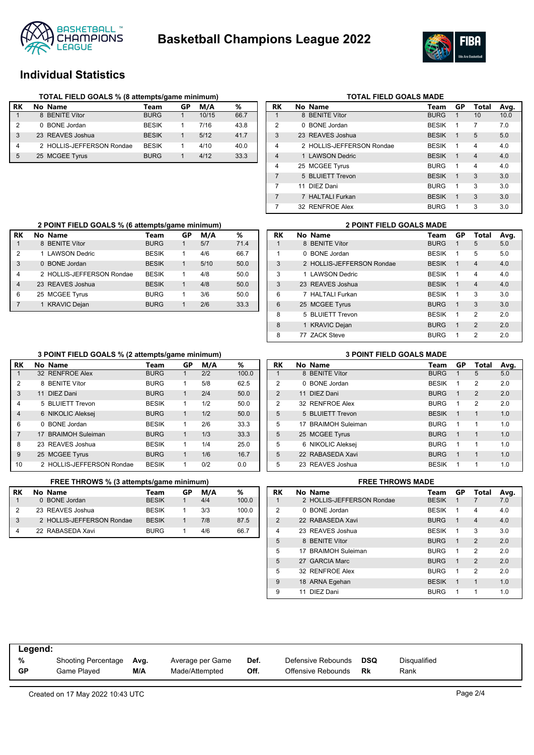



# **Individual Statistics**

|    | TOTAL FIELD GOALS % (8 attempts/game minimum) |              |    |       |      |  |  |  |  |  |  |
|----|-----------------------------------------------|--------------|----|-------|------|--|--|--|--|--|--|
| RK | No Name                                       | Team         | GP | M/A   | %    |  |  |  |  |  |  |
|    | 8 BENITE Vítor                                | <b>BURG</b>  |    | 10/15 | 66.7 |  |  |  |  |  |  |
| 2  | 0 BONE Jordan                                 | <b>BESIK</b> |    | 7/16  | 43.8 |  |  |  |  |  |  |
| 3  | 23 REAVES Joshua                              | <b>BESIK</b> |    | 5/12  | 41.7 |  |  |  |  |  |  |
| 4  | 2 HOLLIS-JEFFERSON Rondae                     | <b>BESK</b>  |    | 4/10  | 40.0 |  |  |  |  |  |  |
| 5  | 25 MCGEE Tyrus                                | <b>BURG</b>  |    | 4/12  | 33.3 |  |  |  |  |  |  |

|                | <b>TOTAL FIELD GOALS MADE</b> |                           |              |           |                |      |  |  |  |  |  |  |
|----------------|-------------------------------|---------------------------|--------------|-----------|----------------|------|--|--|--|--|--|--|
| <b>RK</b>      |                               | No Name                   | Team         | <b>GP</b> | Total          | Avg. |  |  |  |  |  |  |
| 1              |                               | 8 BENITE Vítor            | <b>BURG</b>  | 1         | 10             | 10.0 |  |  |  |  |  |  |
| 2              | 0                             | <b>BONE</b> Jordan        | <b>BESIK</b> | 1         | 7              | 7.0  |  |  |  |  |  |  |
| 3              |                               | 23 REAVES Joshua          | <b>BESIK</b> | 1         | 5              | 5.0  |  |  |  |  |  |  |
| $\overline{4}$ |                               | 2 HOLLIS-JEFFERSON Rondae | <b>BESIK</b> | 1         | $\overline{4}$ | 4.0  |  |  |  |  |  |  |
| $\overline{4}$ |                               | 1 LAWSON Dedric           | <b>BESIK</b> | 1         | $\overline{4}$ | 4.0  |  |  |  |  |  |  |
| 4              |                               | 25 MCGEE Tyrus            | <b>BURG</b>  | 1         | 4              | 4.0  |  |  |  |  |  |  |
| $\overline{7}$ |                               | 5 BLUIETT Trevon          | <b>BESIK</b> | 1         | 3              | 3.0  |  |  |  |  |  |  |
| 7              |                               | 11 DIF7 Dani              | <b>BURG</b>  | 1         | 3              | 3.0  |  |  |  |  |  |  |
| 7              |                               | 7 HALTALI Furkan          | <b>BESIK</b> | 1         | 3              | 3.0  |  |  |  |  |  |  |
| 7              |                               | 32 RENFROE Alex           | <b>BURG</b>  | 1         | 3              | 3.0  |  |  |  |  |  |  |

|                | 2 POINT FIELD GOALS % (6 attempts/game minimum) |              |    |      | <b>2 POINT FIELD GOALS MADE</b> |           |                                                                                                  |              |
|----------------|-------------------------------------------------|--------------|----|------|---------------------------------|-----------|--------------------------------------------------------------------------------------------------|--------------|
| RK             | No Name                                         | Team         | GP | M/A  | %                               | <b>RK</b> | No Name                                                                                          | Team         |
|                | 8 BENITE Vítor                                  | <b>BURG</b>  |    | 5/7  | 71.4                            |           | 8 BENITE Vítor                                                                                   | <b>BURG</b>  |
| 2              | 1 LAWSON Dedric                                 | <b>BESIK</b> |    | 4/6  | 66.7                            |           | 0 BONE Jordan                                                                                    | <b>BESIK</b> |
| 3              | 0 BONE Jordan                                   | <b>BESIK</b> |    | 5/10 | 50.0                            | 3         | 2 HOLLIS-JEFFERSON Rondae                                                                        | <b>BESIK</b> |
| $\overline{4}$ | 2 HOLLIS-JEFFERSON Rondae                       | <b>BESIK</b> |    | 4/8  | 50.0                            | 3         | 1 LAWSON Dedric                                                                                  | <b>BESIK</b> |
| $\overline{4}$ | 23 REAVES Joshua                                | <b>BESIK</b> |    | 4/8  | 50.0                            | 3         | 23 REAVES Joshua                                                                                 | <b>BESIK</b> |
| 6              | 25 MCGEE Tyrus                                  | <b>BURG</b>  |    | 3/6  | 50.0                            | 6         | 7 HALTALI Furkan                                                                                 | <b>BESIK</b> |
| $\overline{7}$ | <b>KRAVIC Dejan</b>                             | <b>BURG</b>  |    | 2/6  | 33.3                            | 6         | 25 MCGEE Tyrus                                                                                   | <b>BURG</b>  |
|                |                                                 |              |    |      |                                 | $\sim$    | $F = \mathbf{D} \cup \mathbf{D} \cup \mathbf{D} \cup \mathbf{D} \cup \mathbf{D} \cup \mathbf{D}$ | <b>DECHA</b> |

|    |   | <b>2 POINT FIELD GOALS MADE</b> |              |              |                |      |
|----|---|---------------------------------|--------------|--------------|----------------|------|
| RK |   | No Name                         | Team         | GP           | Total          | Avg. |
|    |   | 8 BENITE Vítor                  | <b>BURG</b>  |              | 5              | 5.0  |
| 1  | 0 | <b>BONE</b> Jordan              | <b>BESIK</b> | 1            | 5              | 5.0  |
| 3  |   | 2 HOLLIS-JEFFERSON Rondae       | <b>BESIK</b> | 1            | $\overline{4}$ | 4.0  |
| 3  |   | 1   AWSON Dedric                | <b>BESIK</b> | 1            | 4              | 4.0  |
| 3  |   | 23 REAVES Joshua                | <b>BESIK</b> | 1            | $\overline{4}$ | 4.0  |
| 6  |   | 7 HAI TAI I Furkan              | <b>BESIK</b> | 1            | 3              | 3.0  |
| 6  |   | 25 MCGEE Tyrus                  | <b>BURG</b>  | $\mathbf{1}$ | 3              | 3.0  |
| 8  |   | 5 BLUIETT Trevon                | <b>BESIK</b> | 1            | 2              | 2.0  |
| 8  |   | 1 KRAVIC Dejan                  | <b>BURG</b>  | $\mathbf{1}$ | $\mathfrak{p}$ | 2.0  |
| 8  |   | 77 ZACK Steve                   | <b>BURG</b>  | 1            | 2              | 2.0  |

### **3 POINT FIELD GOALS % (2 attempts/game minimum) 3 POINT FIELD GOALS MADE**

|                |              |                           | -            |    |     |       |
|----------------|--------------|---------------------------|--------------|----|-----|-------|
| RK             |              | No Name                   | Team         | GP | M/A | ℅     |
| 1              |              | 32 RENFROE Alex           | <b>BURG</b>  | 1  | 2/2 | 100.0 |
| 2              |              | 8 BENITE Vítor            | <b>BURG</b>  | 1  | 5/8 | 62.5  |
| 3              |              | 11 DIEZ Dani              | <b>BURG</b>  | 1  | 2/4 | 50.0  |
| 4              |              | 5 BLUIETT Trevon          | <b>BESIK</b> | 1  | 1/2 | 50.0  |
| $\overline{4}$ |              | 6 NIKOLIC Aleksej         | <b>BURG</b>  | 1  | 1/2 | 50.0  |
| 6              | <sup>n</sup> | <b>BONE</b> Jordan        | <b>BESIK</b> | 1  | 2/6 | 33.3  |
| 7              |              | 17 BRAIMOH Suleiman       | <b>BURG</b>  | 1  | 1/3 | 33.3  |
| 8              |              | 23 REAVES Joshua          | <b>BESIK</b> | 1  | 1/4 | 25.0  |
| 9              |              | 25 MCGEE Tyrus            | <b>BURG</b>  | 1  | 1/6 | 16.7  |
| 10             |              | 2 HOLLIS-JEFFERSON Rondae | <b>BESIK</b> | 1  | 0/2 | 0.0   |
|                |              |                           |              |    |     |       |

|    | FREE THROWS % (3 attempts/game minimum) |              |    |     |       |    | <b>FREE THROWS MADE</b>   |    |  |  |  |  |
|----|-----------------------------------------|--------------|----|-----|-------|----|---------------------------|----|--|--|--|--|
| RK | No Name                                 | <b>Team</b>  | GP | M/A | %     | RK | No Name                   |    |  |  |  |  |
|    | 0 BONE Jordan                           | <b>BESIK</b> |    | 4/4 | 100.0 |    | 2 HOLLIS-JEFFERSON Rondae | BI |  |  |  |  |
| 2  | 23 REAVES Joshua                        | <b>BESIK</b> |    | 3/3 | 100.0 |    | 0 BONE Jordan             | BI |  |  |  |  |
| 3  | 2 HOLLIS-JEFFERSON Rondae               | <b>BESIK</b> |    | 7/8 | 87.5  |    | 22 RABASEDA Xavi          | BI |  |  |  |  |
| 4  | 22 RABASEDA Xavi                        | <b>BURG</b>  |    | 4/6 | 66.7  |    | 23 REAVES Joshua          | BI |  |  |  |  |

|  |  | <b>3 POINT FIELD GOALS MADE</b> |  |  |  |  |  |  |  |  |
|--|--|---------------------------------|--|--|--|--|--|--|--|--|
|--|--|---------------------------------|--|--|--|--|--|--|--|--|

| RK             |    | No Name                 | Team         | GP           | Total          | Avg. |
|----------------|----|-------------------------|--------------|--------------|----------------|------|
|                |    | 8 BENITE Vítor          | <b>BURG</b>  | 1            | 5              | 5.0  |
| $\mathcal{P}$  | 0  | <b>BONE</b> Jordan      | <b>BESIK</b> | 1            | 2              | 2.0  |
| $\mathfrak{p}$ |    | 11 DIEZ Dani            | <b>BURG</b>  | 1            | $\overline{2}$ | 2.0  |
| 2              |    | 32 RENFROE Alex         | <b>BURG</b>  | 1            | $\overline{2}$ | 2.0  |
| 5              |    | 5 BLUIETT Trevon        | <b>BESIK</b> | 1            | 1              | 1.0  |
| 5              | 17 | <b>BRAIMOH Suleiman</b> | <b>BURG</b>  | 1            | 1              | 1.0  |
| 5              |    | 25 MCGEE Tyrus          | <b>BURG</b>  | $\mathbf{1}$ | 1              | 1.0  |
| 5              |    | 6 NIKOLIC Aleksej       | <b>BURG</b>  | 1            | 1              | 1.0  |
| 5              |    | 22 RABASEDA Xavi        | <b>BURG</b>  | 1            | 1              | 1.0  |
| 5              |    | 23 REAVES Joshua        | <b>BESIK</b> | 1            | 1              | 1.0  |

| <b>FREE THROWS MADE</b> |    |                           |              |              |                |      |  |  |  |
|-------------------------|----|---------------------------|--------------|--------------|----------------|------|--|--|--|
| RK                      |    | No Name                   | Team         | <b>GP</b>    | Total          | Avg. |  |  |  |
| 1                       |    | 2 HOLLIS-JEFFERSON Rondae | <b>BESIK</b> | 1            |                | 7.0  |  |  |  |
| $\overline{2}$          | 0  | BONE Jordan               | <b>BESIK</b> | 1            | 4              | 4.0  |  |  |  |
| $\mathfrak{p}$          |    | 22 RABASEDA Xavi          | <b>BURG</b>  | $\mathbf{1}$ | $\overline{4}$ | 4.0  |  |  |  |
| $\overline{4}$          |    | 23 REAVES Joshua          | <b>BESIK</b> | 1            | 3              | 3.0  |  |  |  |
| 5                       |    | 8 BENITE Vítor            | <b>BURG</b>  | $\mathbf{1}$ | $\mathcal{P}$  | 2.0  |  |  |  |
| 5                       | 17 | <b>BRAIMOH Suleiman</b>   | <b>BURG</b>  | 1            | 2              | 2.0  |  |  |  |
| 5                       |    | 27 GARCIA Marc            | <b>BURG</b>  | 1            | $\mathfrak{p}$ | 2.0  |  |  |  |
| 5                       |    | 32 RENFROE Alex           | <b>BURG</b>  | 1            | $\mathfrak{p}$ | 2.0  |  |  |  |
| 9                       |    | 18 ARNA Egehan            | <b>BESIK</b> | 1            | $\mathbf{1}$   | 1.0  |  |  |  |
| 9                       | 11 | DIEZ Dani                 | <b>BURG</b>  | 1            |                | 1.0  |  |  |  |

| Legend:   |                            |      |                  |      |                    |            |              |
|-----------|----------------------------|------|------------------|------|--------------------|------------|--------------|
| %         | <b>Shooting Percentage</b> | Avg. | Average per Game | Def. | Defensive Rebounds | <b>DSQ</b> | Disqualified |
| <b>GP</b> | Game Played                | M/A  | Made/Attempted   | Off. | Offensive Rebounds | Rk         | Rank         |
|           |                            |      |                  |      |                    |            |              |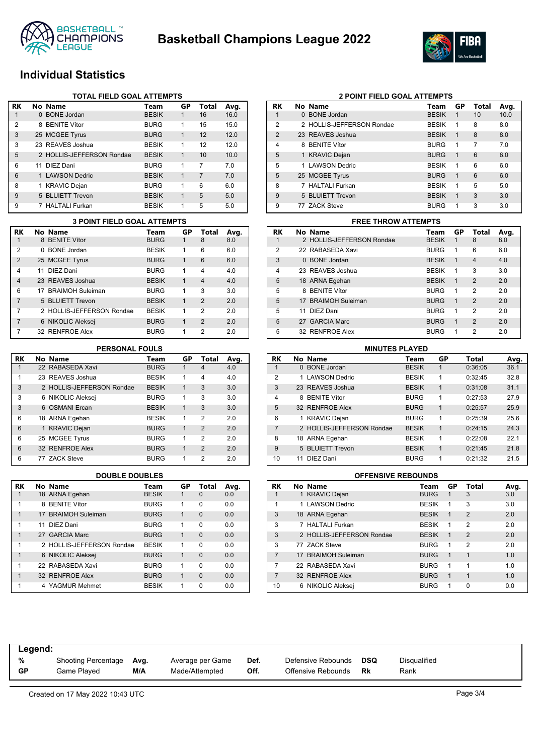



## **Individual Statistics**

|    | <b>TOTAL FIELD GOAL ATTEMPTS</b> |                           |              |              |       |      |  |  |  |  |
|----|----------------------------------|---------------------------|--------------|--------------|-------|------|--|--|--|--|
| RK |                                  | No Name                   | Team         | GP           | Total | Avg. |  |  |  |  |
| 1  |                                  | 0 BONE Jordan             | <b>BESIK</b> | 1            | 16    | 16.0 |  |  |  |  |
| 2  |                                  | 8 BENITE Vítor            | <b>BURG</b>  | 1            | 15    | 15.0 |  |  |  |  |
| 3  |                                  | 25 MCGEE Tyrus            | <b>BURG</b>  | $\mathbf{1}$ | 12    | 12.0 |  |  |  |  |
| 3  |                                  | 23 REAVES Joshua          | <b>BESIK</b> | 1            | 12    | 12.0 |  |  |  |  |
| 5  |                                  | 2 HOLLIS-JEFFERSON Rondae | <b>BESIK</b> | $\mathbf{1}$ | 10    | 10.0 |  |  |  |  |
| 6  |                                  | 11 DIEZ Dani              | <b>BURG</b>  | 1            | 7     | 7.0  |  |  |  |  |
| 6  |                                  | 1 LAWSON Dedric           | <b>BESIK</b> | 1            | 7     | 7.0  |  |  |  |  |
| 8  |                                  | 1 KRAVIC Dejan            | <b>BURG</b>  | 1            | 6     | 6.0  |  |  |  |  |
| 9  |                                  | 5 BLUIETT Trevon          | <b>BESIK</b> | $\mathbf{1}$ | 5     | 5.0  |  |  |  |  |
| 9  |                                  | 7 HALTALI Furkan          | <b>BESIK</b> | 1            | 5     | 5.0  |  |  |  |  |

### **RK No Name Team GP Total Avg.** 1 8 BENITE Vítor BURG 1 8 8.0 2 0 BONE Jordan BESIK 1 6 6.0 2 25 MCGEE Tyrus BURG 1 6 6.0 4 11 DIEZ Dani BURG 1 4 4.0 4 23 REAVES Joshua BESIK 1 4 4.0 6 17 BRAIMOH Suleiman BURG 1 3 3.0 7 5 BLUIETT Trevon BESIK 1 2 2.0 7 2 HOLLIS-JEFFERSON Rondae BESIK 1 2 2.0 7 6 NIKOLIC Aleksej BURG 1 2 2.0 7 32 RENFROE Alex BURG 1 2 2.0 **3 POINT FIELD GOAL ATTEMPTS FREE THROW ATTEMPTS**

| RK | No Name                   | Team         | GP           | Total          | Avg. |
|----|---------------------------|--------------|--------------|----------------|------|
| 1  | 22 RABASEDA Xavi          | <b>BURG</b>  |              | 4              | 4.0  |
| 1  | 23 REAVES Joshua          | <b>BESIK</b> | 1            | 4              | 4.0  |
| 3  | 2 HOLLIS-JEFFERSON Rondae | <b>BESIK</b> | 1            | 3              | 3.0  |
| 3  | 6 NIKOLIC Aleksej         | <b>BURG</b>  | 1            | 3              | 3.0  |
| 3  | 6 OSMANI Ercan            | <b>BESIK</b> | 1            | 3              | 3.0  |
| 6  | 18 ARNA Egehan            | <b>BESIK</b> | 1            | 2              | 2.0  |
| 6  | 1 KRAVIC Dejan            | <b>BURG</b>  | 1            | $\overline{2}$ | 2.0  |
| 6  | 25 MCGEE Tyrus            | <b>BURG</b>  | 1            | 2              | 2.0  |
| 6  | 32 RENFROE Alex           | <b>BURG</b>  | $\mathbf{1}$ | $\overline{2}$ | 2.0  |
| 6  | 77 ZACK Steve             | <b>BURG</b>  | 1            | 2              | 2.0  |

| <b>RK</b> | No Name                   | Team         | GP | Total    | Avg. |
|-----------|---------------------------|--------------|----|----------|------|
| 1         | 18 ARNA Egehan            | <b>BESIK</b> |    | $\Omega$ | 0.0  |
| 1         | <b>BENITE Vítor</b><br>8  | <b>BURG</b>  | 1  | $\Omega$ | 0.0  |
| 1         | 17 BRAIMOH Suleiman       | <b>BURG</b>  | 1  | $\Omega$ | 0.0  |
| 1         | DIF7 Dani<br>11           | <b>BURG</b>  | 1  | $\Omega$ | 0.0  |
| 1         | 27 GARCIA Marc            | <b>BURG</b>  | 1  | $\Omega$ | 0.0  |
| 1         | 2 HOLLIS-JEFFERSON Rondae | <b>BESIK</b> | 1  | $\Omega$ | 0.0  |
| 1         | 6 NIKOLIC Aleksej         | <b>BURG</b>  | 1  | $\Omega$ | 0.0  |
| 1         | 22 RABASEDA Xavi          | <b>BURG</b>  | 1  | $\Omega$ | 0.0  |
| 1         | 32 RENFROE Alex           | <b>BURG</b>  | 1  | $\Omega$ | 0.0  |
| 1         | 4 YAGMUR Mehmet           | <b>BESIK</b> | 1  | $\Omega$ | 0.0  |

### **2 POINT FIELD GOAL ATTEMPTS**

| RK             | No Name                   | Team         | GP           | Total | Avg. |
|----------------|---------------------------|--------------|--------------|-------|------|
| 1              | 0 BONE Jordan             | <b>BESIK</b> | 1            | 10    | 10.0 |
| 2              | 2 HOLLIS-JEFFERSON Rondae | <b>BESIK</b> | 1            | 8     | 8.0  |
| $\overline{2}$ | 23 REAVES Joshua          | <b>BESIK</b> | $\mathbf{1}$ | 8     | 8.0  |
| 4              | 8 BENITE Vítor            | <b>BURG</b>  | 1            | 7     | 7.0  |
| 5              | 1 KRAVIC Dejan            | <b>BURG</b>  | 1            | 6     | 6.0  |
| 5              | 1 LAWSON Dedric           | <b>BESIK</b> | 1            | 6     | 6.0  |
| 5              | 25 MCGEE Tyrus            | <b>BURG</b>  | 1            | 6     | 6.0  |
| 8              | 7 HALTALI Furkan          | <b>BESIK</b> | 1            | 5     | 5.0  |
| 9              | 5 BLUIETT Trevon          | <b>BESIK</b> | 1            | 3     | 3.0  |
| 9              | 77 ZACK Steve             | <b>BURG</b>  | 1            | 3     | 3.0  |

| RK             | No Name                   | Team         | GP | Total          | Avg. |
|----------------|---------------------------|--------------|----|----------------|------|
| 1              | 2 HOLLIS-JEFFERSON Rondae | <b>BESIK</b> | 1  | 8              | 8.0  |
| $\overline{2}$ | 22 RABASEDA Xavi          | <b>BURG</b>  | 1  | 6              | 6.0  |
| 3              | 0 BONE Jordan             | <b>BESIK</b> | 1  | $\overline{4}$ | 4.0  |
| 4              | 23 REAVES Joshua          | <b>BESIK</b> | 1  | 3              | 3.0  |
| 5              | 18 ARNA Egehan            | <b>BESIK</b> | 1  | $\mathcal{P}$  | 2.0  |
| 5              | 8 BENITE Vítor            | <b>BURG</b>  | 1  | 2              | 2.0  |
| 5              | 17 BRAIMOH Suleiman       | <b>BURG</b>  | 1  | $\mathcal{P}$  | 2.0  |
| 5              | DIEZ Dani<br>11           | <b>BURG</b>  | 1  | 2              | 2.0  |
| 5              | 27 GARCIA Marc            | <b>BURG</b>  | 1  | $\mathcal{P}$  | 2.0  |
| 5              | 32 RENFROE Alex           | <b>BURG</b>  |    | 2              | 2.0  |

### **RK No Name Team GP Total Avg.** 0 BONE Jordan 2 1 LAWSON Dedric BESIK 1 0:32:45 32.8 3 23 REAVES Joshua BESIK 1 0:31:08 31.1 4 8 BENITE Vítor BURG 1 0:27:53 27.9 5 32 RENFROE Alex BURG 1 0:25:57 25.9 6 1 KRAVIC Dejan BURG 1 0:25:39 25.6 7 2 HOLLIS-JEFFERSON Rondae BESIK 1 0:24:15 24.3 8 18 ARNA Egehan BESIK 1 0:22:08 22.1 9 5 BLUIETT Trevon BESIK 1 0:21:45 21.8 10 11 DIEZ Dani BURG 1 0:21:32 21.5 **PERSONAL FOULS MINUTES PLAYED**

### **DOUBLE DOUBLES OFFENSIVE REBOUNDS**

| <b>RK</b> | No Name                   | Team         | GP | Total          | Avg. |
|-----------|---------------------------|--------------|----|----------------|------|
| 1         | 1 KRAVIC Dejan            | <b>BURG</b>  | 1  | 3              | 3.0  |
| 1         | 1 LAWSON Dedric           | <b>BESIK</b> | 1  | 3              | 3.0  |
| 3         | 18 ARNA Egehan            | <b>BESIK</b> | 1  | $\mathfrak{p}$ | 2.0  |
| 3         | 7 HALTALI Furkan          | <b>BESIK</b> | 1  | $\overline{2}$ | 2.0  |
| 3         | 2 HOLLIS-JEFFERSON Rondae | <b>BESIK</b> | 1  | $\overline{2}$ | 2.0  |
| 3         | 77 ZACK Steve             | <b>BURG</b>  | 1  | $\overline{2}$ | 2.0  |
| 7         | 17 BRAIMOH Suleiman       | <b>BURG</b>  | 1  | $\mathbf{1}$   | 1.0  |
| 7         | 22 RABASEDA Xavi          | <b>BURG</b>  | 1  | 1              | 1.0  |
| 7         | 32 RENFROE Alex           | <b>BURG</b>  | 1  | 1              | 1.0  |
| 10        | 6 NIKOLIC Aleksej         | <b>BURG</b>  | 1  | O              | 0.0  |

| Legend: |                            |      |                  |      |                    |     |              |
|---------|----------------------------|------|------------------|------|--------------------|-----|--------------|
| %       | <b>Shooting Percentage</b> | Avg. | Average per Game | Def. | Defensive Rebounds | DSQ | Disqualified |
| GP      | Game Plaved                | M/A  | Made/Attempted   | Off. | Offensive Rebounds | Rk  | Rank         |